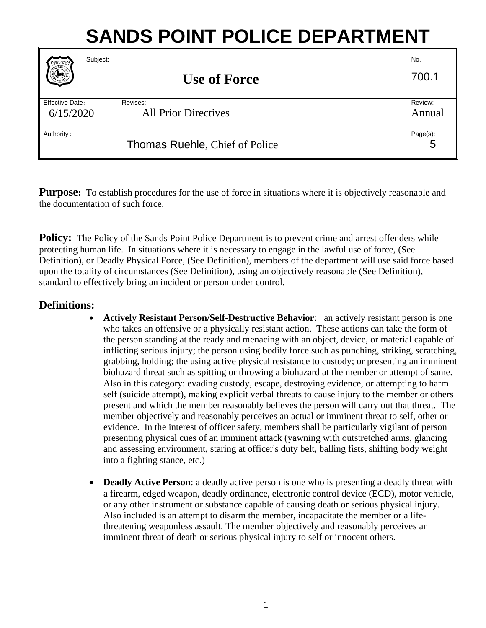# **SANDS POINT POLICE DEPARTMENT**

| PFOLICE                        | Subject: | <b>Use of Force</b>         | No.<br>700.1 |
|--------------------------------|----------|-----------------------------|--------------|
| Effective Date:                |          | Revises:                    | Review:      |
| 6/15/2020                      |          | <b>All Prior Directives</b> | Annual       |
| Authority:                     |          |                             | Page(s):     |
| Thomas Ruehle, Chief of Police |          |                             | 5            |

**Purpose:** To establish procedures for the use of force in situations where it is objectively reasonable and the documentation of such force.

**Policy:** The Policy of the Sands Point Police Department is to prevent crime and arrest offenders while protecting human life. In situations where it is necessary to engage in the lawful use of force, (See Definition), or Deadly Physical Force, (See Definition), members of the department will use said force based upon the totality of circumstances (See Definition), using an objectively reasonable (See Definition), standard to effectively bring an incident or person under control.

# **Definitions:**

- **Actively Resistant Person/Self-Destructive Behavior**: an actively resistant person is one who takes an offensive or a physically resistant action. These actions can take the form of the person standing at the ready and menacing with an object, device, or material capable of inflicting serious injury; the person using bodily force such as punching, striking, scratching, grabbing, holding; the using active physical resistance to custody; or presenting an imminent biohazard threat such as spitting or throwing a biohazard at the member or attempt of same. Also in this category: evading custody, escape, destroying evidence, or attempting to harm self (suicide attempt), making explicit verbal threats to cause injury to the member or others present and which the member reasonably believes the person will carry out that threat. The member objectively and reasonably perceives an actual or imminent threat to self, other or evidence. In the interest of officer safety, members shall be particularly vigilant of person presenting physical cues of an imminent attack (yawning with outstretched arms, glancing and assessing environment, staring at officer's duty belt, balling fists, shifting body weight into a fighting stance, etc.)
- **Deadly Active Person**: a deadly active person is one who is presenting a deadly threat with a firearm, edged weapon, deadly ordinance, electronic control device (ECD), motor vehicle, or any other instrument or substance capable of causing death or serious physical injury. Also included is an attempt to disarm the member, incapacitate the member or a lifethreatening weaponless assault. The member objectively and reasonably perceives an imminent threat of death or serious physical injury to self or innocent others.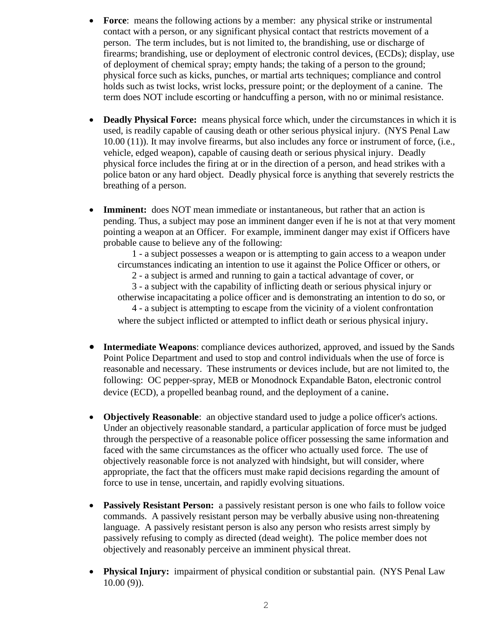- **Force:** means the following actions by a member: any physical strike or instrumental contact with a person, or any significant physical contact that restricts movement of a person. The term includes, but is not limited to, the brandishing, use or discharge of firearms; brandishing, use or deployment of electronic control devices, (ECDs); display, use of deployment of chemical spray; empty hands; the taking of a person to the ground; physical force such as kicks, punches, or martial arts techniques; compliance and control holds such as twist locks, wrist locks, pressure point; or the deployment of a canine. The term does NOT include escorting or handcuffing a person, with no or minimal resistance.
- **Deadly Physical Force:** means physical force which, under the circumstances in which it is used, is readily capable of causing death or other serious physical injury. (NYS Penal Law 10.00 (11)). It may involve firearms, but also includes any force or instrument of force, (i.e., vehicle, edged weapon), capable of causing death or serious physical injury. Deadly physical force includes the firing at or in the direction of a person, and head strikes with a police baton or any hard object. Deadly physical force is anything that severely restricts the breathing of a person.
- **Imminent:** does NOT mean immediate or instantaneous, but rather that an action is pending. Thus, a subject may pose an imminent danger even if he is not at that very moment pointing a weapon at an Officer. For example, imminent danger may exist if Officers have probable cause to believe any of the following:

1 - a subject possesses a weapon or is attempting to gain access to a weapon under circumstances indicating an intention to use it against the Police Officer or others, or

2 - a subject is armed and running to gain a tactical advantage of cover, or

3 - a subject with the capability of inflicting death or serious physical injury or otherwise incapacitating a police officer and is demonstrating an intention to do so, or 4 - a subject is attempting to escape from the vicinity of a violent confrontation

where the subject inflicted or attempted to inflict death or serious physical injury.

- **Intermediate Weapons**: compliance devices authorized, approved, and issued by the Sands Point Police Department and used to stop and control individuals when the use of force is reasonable and necessary. These instruments or devices include, but are not limited to, the following: OC pepper-spray, MEB or Monodnock Expandable Baton, electronic control device (ECD), a propelled beanbag round, and the deployment of a canine.
- **Objectively Reasonable**: an objective standard used to judge a police officer's actions. Under an objectively reasonable standard, a particular application of force must be judged through the perspective of a reasonable police officer possessing the same information and faced with the same circumstances as the officer who actually used force. The use of objectively reasonable force is not analyzed with hindsight, but will consider, where appropriate, the fact that the officers must make rapid decisions regarding the amount of force to use in tense, uncertain, and rapidly evolving situations.
- **Passively Resistant Person:** a passively resistant person is one who fails to follow voice commands. A passively resistant person may be verbally abusive using non-threatening language. A passively resistant person is also any person who resists arrest simply by passively refusing to comply as directed (dead weight). The police member does not objectively and reasonably perceive an imminent physical threat.
- **Physical Injury:** impairment of physical condition or substantial pain. (NYS Penal Law 10.00 (9)).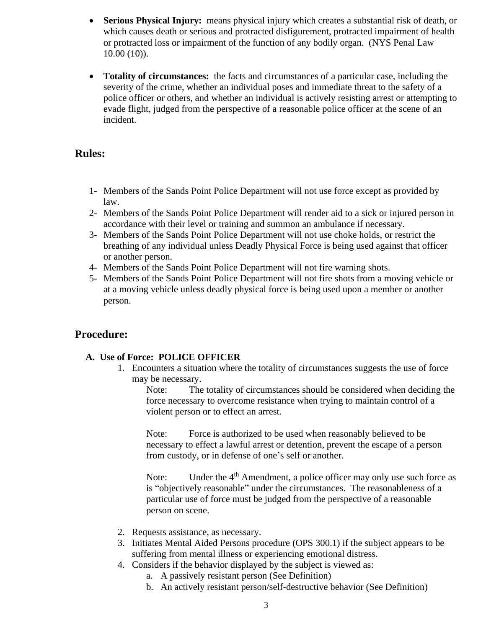- **Serious Physical Injury:** means physical injury which creates a substantial risk of death, or which causes death or serious and protracted disfigurement, protracted impairment of health or protracted loss or impairment of the function of any bodily organ. (NYS Penal Law 10.00 (10)).
- **Totality of circumstances:** the facts and circumstances of a particular case, including the severity of the crime, whether an individual poses and immediate threat to the safety of a police officer or others, and whether an individual is actively resisting arrest or attempting to evade flight, judged from the perspective of a reasonable police officer at the scene of an incident.

### **Rules:**

- 1- Members of the Sands Point Police Department will not use force except as provided by law.
- 2- Members of the Sands Point Police Department will render aid to a sick or injured person in accordance with their level or training and summon an ambulance if necessary.
- 3- Members of the Sands Point Police Department will not use choke holds, or restrict the breathing of any individual unless Deadly Physical Force is being used against that officer or another person.
- 4- Members of the Sands Point Police Department will not fire warning shots.
- 5- Members of the Sands Point Police Department will not fire shots from a moving vehicle or at a moving vehicle unless deadly physical force is being used upon a member or another person.

# **Procedure:**

#### **A. Use of Force: POLICE OFFICER**

1. Encounters a situation where the totality of circumstances suggests the use of force may be necessary.

Note: The totality of circumstances should be considered when deciding the force necessary to overcome resistance when trying to maintain control of a violent person or to effect an arrest.

Note: Force is authorized to be used when reasonably believed to be necessary to effect a lawful arrest or detention, prevent the escape of a person from custody, or in defense of one's self or another.

Note: Under the 4<sup>th</sup> Amendment, a police officer may only use such force as is "objectively reasonable" under the circumstances. The reasonableness of a particular use of force must be judged from the perspective of a reasonable person on scene.

- 2. Requests assistance, as necessary.
- 3. Initiates Mental Aided Persons procedure (OPS 300.1) if the subject appears to be suffering from mental illness or experiencing emotional distress.
- 4. Considers if the behavior displayed by the subject is viewed as:
	- a. A passively resistant person (See Definition)
	- b. An actively resistant person/self-destructive behavior (See Definition)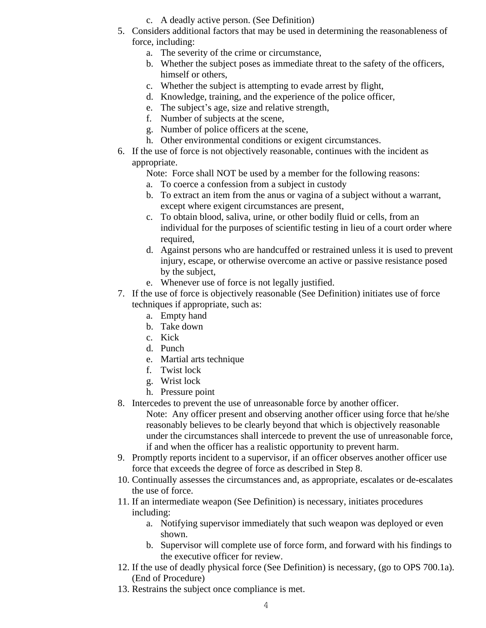- c. A deadly active person. (See Definition)
- 5. Considers additional factors that may be used in determining the reasonableness of force, including:
	- a. The severity of the crime or circumstance,
	- b. Whether the subject poses as immediate threat to the safety of the officers, himself or others,
	- c. Whether the subject is attempting to evade arrest by flight,
	- d. Knowledge, training, and the experience of the police officer,
	- e. The subject's age, size and relative strength,
	- f. Number of subjects at the scene,
	- g. Number of police officers at the scene,
	- h. Other environmental conditions or exigent circumstances.
- 6. If the use of force is not objectively reasonable, continues with the incident as appropriate.
	- Note: Force shall NOT be used by a member for the following reasons:
	- a. To coerce a confession from a subject in custody
	- b. To extract an item from the anus or vagina of a subject without a warrant, except where exigent circumstances are present,
	- c. To obtain blood, saliva, urine, or other bodily fluid or cells, from an individual for the purposes of scientific testing in lieu of a court order where required,
	- d. Against persons who are handcuffed or restrained unless it is used to prevent injury, escape, or otherwise overcome an active or passive resistance posed by the subject,
	- e. Whenever use of force is not legally justified.
- 7. If the use of force is objectively reasonable (See Definition) initiates use of force techniques if appropriate, such as:
	- a. Empty hand
	- b. Take down
	- c. Kick
	- d. Punch
	- e. Martial arts technique
	- f. Twist lock
	- g. Wrist lock
	- h. Pressure point
- 8. Intercedes to prevent the use of unreasonable force by another officer.
	- Note: Any officer present and observing another officer using force that he/she reasonably believes to be clearly beyond that which is objectively reasonable under the circumstances shall intercede to prevent the use of unreasonable force, if and when the officer has a realistic opportunity to prevent harm.
- 9. Promptly reports incident to a supervisor, if an officer observes another officer use force that exceeds the degree of force as described in Step 8.
- 10. Continually assesses the circumstances and, as appropriate, escalates or de-escalates the use of force.
- 11. If an intermediate weapon (See Definition) is necessary, initiates procedures including:
	- a. Notifying supervisor immediately that such weapon was deployed or even shown.
	- b. Supervisor will complete use of force form, and forward with his findings to the executive officer for review.
- 12. If the use of deadly physical force (See Definition) is necessary, (go to OPS 700.1a). (End of Procedure)
- 13. Restrains the subject once compliance is met.